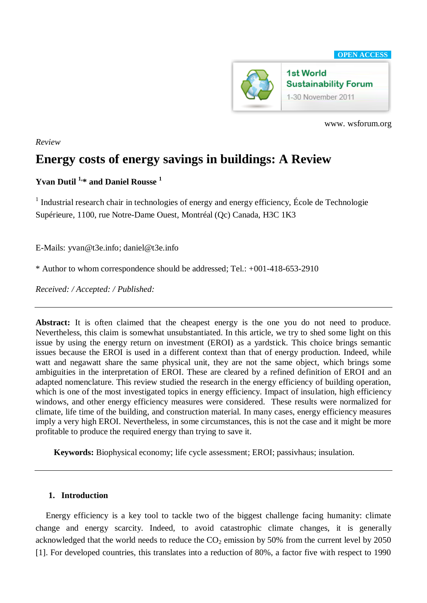

www. wsforum.org

## *Review*

# **Energy costs of energy savings in buildings: A Review**

# **Yvan Dutil 1,\* and Daniel Rousse <sup>1</sup>**

<sup>1</sup> Industrial research chair in technologies of energy and energy efficiency, École de Technologie Supérieure, 1100, rue Notre-Dame Ouest, Montréal (Qc) Canada, H3C 1K3

E-Mails: yvan@t3e.info; daniel@t3e.info

\* Author to whom correspondence should be addressed; Tel.: +001-418-653-2910

*Received: / Accepted: / Published:* 

Abstract: It is often claimed that the cheapest energy is the one you do not need to produce. Nevertheless, this claim is somewhat unsubstantiated. In this article, we try to shed some light on this issue by using the energy return on investment (EROI) as a yardstick. This choice brings semantic issues because the EROI is used in a different context than that of energy production. Indeed, while watt and negawatt share the same physical unit, they are not the same object, which brings some ambiguities in the interpretation of EROI. These are cleared by a refined definition of EROI and an adapted nomenclature. This review studied the research in the energy efficiency of building operation, which is one of the most investigated topics in energy efficiency. Impact of insulation, high efficiency windows, and other energy efficiency measures were considered. These results were normalized for climate, life time of the building, and construction material. In many cases, energy efficiency measures imply a very high EROI. Nevertheless, in some circumstances, this is not the case and it might be more profitable to produce the required energy than trying to save it.

**Keywords:** Biophysical economy; life cycle assessment; EROI; passivhaus; insulation.

# **1. Introduction**

Energy efficiency is a key tool to tackle two of the biggest challenge facing humanity: climate change and energy scarcity. Indeed, to avoid catastrophic climate changes, it is generally acknowledged that the world needs to reduce the  $CO<sub>2</sub>$  emission by 50% from the current level by 2050 [1]. For developed countries, this translates into a reduction of 80%, a factor five with respect to 1990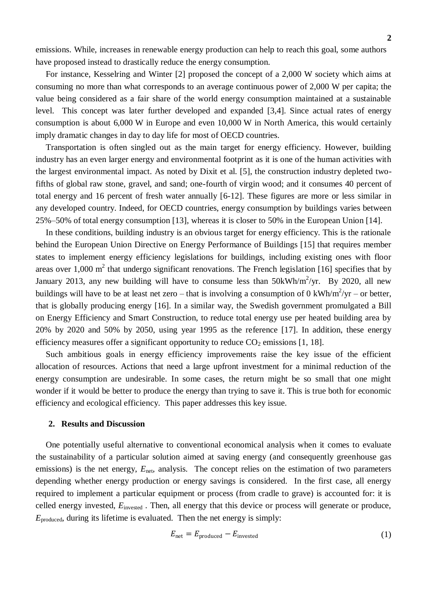emissions. While, increases in renewable energy production can help to reach this goal, some authors have proposed instead to drastically reduce the energy consumption.

For instance, Kesselring and Winter [2] proposed the concept of a 2,000 W society which aims at consuming no more than what corresponds to an average continuous power of 2,000 W per capita; the value being considered as a fair share of the world energy consumption maintained at a sustainable level. This concept was later further developed and expanded [3,4]. Since actual rates of energy consumption is about 6,000 W in Europe and even 10,000 W in North America, this would certainly imply dramatic changes in day to day life for most of OECD countries.

Transportation is often singled out as the main target for energy efficiency. However, building industry has an even larger energy and environmental footprint as it is one of the human activities with the largest environmental impact. As noted by Dixit et al. [5], the construction industry depleted twofifths of global raw stone, gravel, and sand; one-fourth of virgin wood; and it consumes 40 percent of total energy and 16 percent of fresh water annually [6-12]. These figures are more or less similar in any developed country. Indeed, for OECD countries, energy consumption by buildings varies between 25%–50% of total energy consumption [13], whereas it is closer to 50% in the European Union [14].

In these conditions, building industry is an obvious target for energy efficiency. This is the rationale behind the European Union Directive on Energy Performance of Buildings [15] that requires member states to implement energy efficiency legislations for buildings, including existing ones with floor areas over 1,000  $m^2$  that undergo significant renovations. The French legislation [16] specifies that by January 2013, any new building will have to consume less than  $50kWh/m^2/yr$ . By 2020, all new buildings will have to be at least net zero – that is involving a consumption of 0 kWh/m<sup>2</sup>/yr – or better, that is globally producing energy [16]. In a similar way, the Swedish government promulgated a Bill on Energy Efficiency and Smart Construction, to reduce total energy use per heated building area by 20% by 2020 and 50% by 2050, using year 1995 as the reference [17]. In addition, these energy efficiency measures offer a significant opportunity to reduce  $CO_2$  emissions [1, 18].

Such ambitious goals in energy efficiency improvements raise the key issue of the efficient allocation of resources. Actions that need a large upfront investment for a minimal reduction of the energy consumption are undesirable. In some cases, the return might be so small that one might wonder if it would be better to produce the energy than trying to save it. This is true both for economic efficiency and ecological efficiency. This paper addresses this key issue.

#### **2. Results and Discussion**

One potentially useful alternative to conventional economical analysis when it comes to evaluate the sustainability of a particular solution aimed at saving energy (and consequently greenhouse gas emissions) is the net energy,  $E_{\text{net}}$ , analysis. The concept relies on the estimation of two parameters depending whether energy production or energy savings is considered. In the first case, all energy required to implement a particular equipment or process (from cradle to grave) is accounted for: it is celled energy invested,  $E_{\text{invested}}$ . Then, all energy that this device or process will generate or produce, *E*produced, during its lifetime is evaluated. Then the net energy is simply:

$$
E_{\text{net}} = E_{\text{produced}} - E_{\text{invested}} \tag{1}
$$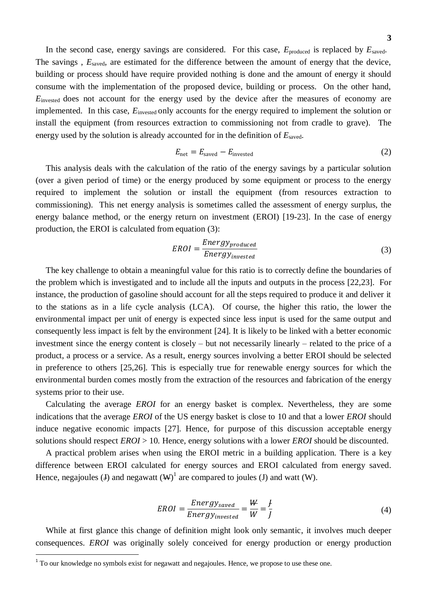In the second case, energy savings are considered. For this case,  $E_{\text{produced}}$  is replaced by  $E_{\text{saved}}$ . The savings,  $E_{\text{saved}}$ , are estimated for the difference between the amount of energy that the device, building or process should have require provided nothing is done and the amount of energy it should consume with the implementation of the proposed device, building or process. On the other hand, *E*invested does not account for the energy used by the device after the measures of economy are implemented. In this case, *E*invested only accounts for the energy required to implement the solution or install the equipment (from resources extraction to commissioning not from cradle to grave). The energy used by the solution is already accounted for in the definition of *E*saved.

$$
E_{\text{net}} = E_{\text{saved}} - E_{\text{invested}} \tag{2}
$$

This analysis deals with the calculation of the ratio of the energy savings by a particular solution (over a given period of time) or the energy produced by some equipment or process to the energy required to implement the solution or install the equipment (from resources extraction to commissioning). This net energy analysis is sometimes called the assessment of energy surplus, the energy balance method, or the energy return on investment (EROI) [19-23]. In the case of energy production, the EROI is calculated from equation (3):

$$
EROI = \frac{Energy_{produced}}{Energy_{invested}}\tag{3}
$$

The key challenge to obtain a meaningful value for this ratio is to correctly define the boundaries of the problem which is investigated and to include all the inputs and outputs in the process [22,23]. For instance, the production of gasoline should account for all the steps required to produce it and deliver it to the stations as in a life cycle analysis (LCA). Of course, the higher this ratio, the lower the environmental impact per unit of energy is expected since less input is used for the same output and consequently less impact is felt by the environment [24]. It is likely to be linked with a better economic investment since the energy content is closely – but not necessarily linearly – related to the price of a product, a process or a service. As a result, energy sources involving a better EROI should be selected in preference to others [25,26]. This is especially true for renewable energy sources for which the environmental burden comes mostly from the extraction of the resources and fabrication of the energy systems prior to their use.

Calculating the average *EROI* for an energy basket is complex. Nevertheless, they are some indications that the average *EROI* of the US energy basket is close to 10 and that a lower *EROI* should induce negative economic impacts [27]. Hence, for purpose of this discussion acceptable energy solutions should respect *EROI* > 10. Hence, energy solutions with a lower *EROI* should be discounted.

A practical problem arises when using the EROI metric in a building application. There is a key difference between EROI calculated for energy sources and EROI calculated from energy saved. Hence, negajoules (J) and negawatt  $(W)^{1}$  are compared to joules (J) and watt (W).

$$
EROI = \frac{Energy_{saved}}{Energy_{invested}} = \frac{W}{W} = \frac{f}{J}
$$
(4)

While at first glance this change of definition might look only semantic, it involves much deeper consequences. *EROI* was originally solely conceived for energy production or energy production

 $\overline{a}$ 

 $1$  To our knowledge no symbols exist for negawatt and negajoules. Hence, we propose to use these one.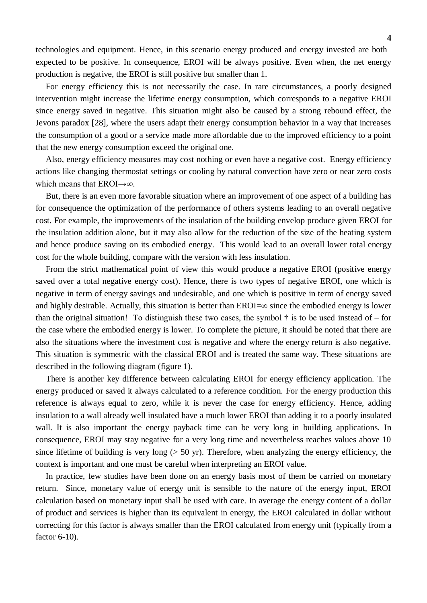technologies and equipment. Hence, in this scenario energy produced and energy invested are both expected to be positive. In consequence, EROI will be always positive. Even when, the net energy production is negative, the EROI is still positive but smaller than 1.

For energy efficiency this is not necessarily the case. In rare circumstances, a poorly designed intervention might increase the lifetime energy consumption, which corresponds to a negative EROI since energy saved in negative. This situation might also be caused by a strong rebound effect, the Jevons paradox [28], where the users adapt their energy consumption behavior in a way that increases the consumption of a good or a service made more affordable due to the improved efficiency to a point that the new energy consumption exceed the original one.

Also, energy efficiency measures may cost nothing or even have a negative cost. Energy efficiency actions like changing thermostat settings or cooling by natural convection have zero or near zero costs which means that  $EROI \rightarrow \infty$ .

But, there is an even more favorable situation where an improvement of one aspect of a building has for consequence the optimization of the performance of others systems leading to an overall negative cost. For example, the improvements of the insulation of the building envelop produce given EROI for the insulation addition alone, but it may also allow for the reduction of the size of the heating system and hence produce saving on its embodied energy. This would lead to an overall lower total energy cost for the whole building, compare with the version with less insulation.

From the strict mathematical point of view this would produce a negative EROI (positive energy saved over a total negative energy cost). Hence, there is two types of negative EROI, one which is negative in term of energy savings and undesirable, and one which is positive in term of energy saved and highly desirable. Actually, this situation is better than  $EROI = \infty$  since the embodied energy is lower than the original situation! To distinguish these two cases, the symbol  $\dagger$  is to be used instead of – for the case where the embodied energy is lower. To complete the picture, it should be noted that there are also the situations where the investment cost is negative and where the energy return is also negative. This situation is symmetric with the classical EROI and is treated the same way. These situations are described in the following diagram (figure 1).

There is another key difference between calculating EROI for energy efficiency application. The energy produced or saved it always calculated to a reference condition. For the energy production this reference is always equal to zero, while it is never the case for energy efficiency. Hence, adding insulation to a wall already well insulated have a much lower EROI than adding it to a poorly insulated wall. It is also important the energy payback time can be very long in building applications. In consequence, EROI may stay negative for a very long time and nevertheless reaches values above 10 since lifetime of building is very long ( $> 50$  yr). Therefore, when analyzing the energy efficiency, the context is important and one must be careful when interpreting an EROI value.

In practice, few studies have been done on an energy basis most of them be carried on monetary return. Since, monetary value of energy unit is sensible to the nature of the energy input, EROI calculation based on monetary input shall be used with care. In average the energy content of a dollar of product and services is higher than its equivalent in energy, the EROI calculated in dollar without correcting for this factor is always smaller than the EROI calculated from energy unit (typically from a factor 6-10).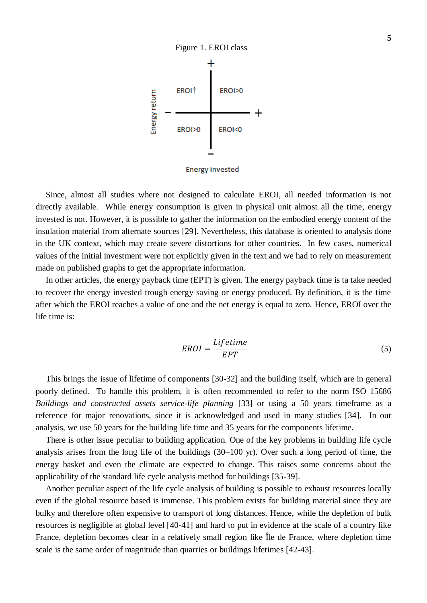

**Energy invested** 

Since, almost all studies where not designed to calculate EROI, all needed information is not directly available. While energy consumption is given in physical unit almost all the time, energy invested is not. However, it is possible to gather the information on the embodied energy content of the insulation material from alternate sources [29]. Nevertheless, this database is oriented to analysis done in the UK context, which may create severe distortions for other countries. In few cases, numerical values of the initial investment were not explicitly given in the text and we had to rely on measurement made on published graphs to get the appropriate information.

In other articles, the energy payback time (EPT) is given. The energy payback time is ta take needed to recover the energy invested trough energy saving or energy produced. By definition, it is the time after which the EROI reaches a value of one and the net energy is equal to zero. Hence, EROI over the life time is:

$$
EROI = \frac{Lifetime}{EPT}
$$
 (5)

This brings the issue of lifetime of components [30-32] and the building itself, which are in general poorly defined. To handle this problem, it is often recommended to refer to the norm ISO 15686 *Buildings and constructed assets service-life planning* [33] or using a 50 years timeframe as a reference for major renovations, since it is acknowledged and used in many studies [34]. In our analysis, we use 50 years for the building life time and 35 years for the components lifetime.

There is other issue peculiar to building application. One of the key problems in building life cycle analysis arises from the long life of the buildings (30–100 yr). Over such a long period of time, the energy basket and even the climate are expected to change. This raises some concerns about the applicability of the standard life cycle analysis method for buildings [35-39].

Another peculiar aspect of the life cycle analysis of building is possible to exhaust resources locally even if the global resource based is immense. This problem exists for building material since they are bulky and therefore often expensive to transport of long distances. Hence, while the depletion of bulk resources is negligible at global level [40-41] and hard to put in evidence at the scale of a country like France, depletion becomes clear in a relatively small region like Île de France, where depletion time scale is the same order of magnitude than quarries or buildings lifetimes [42-43].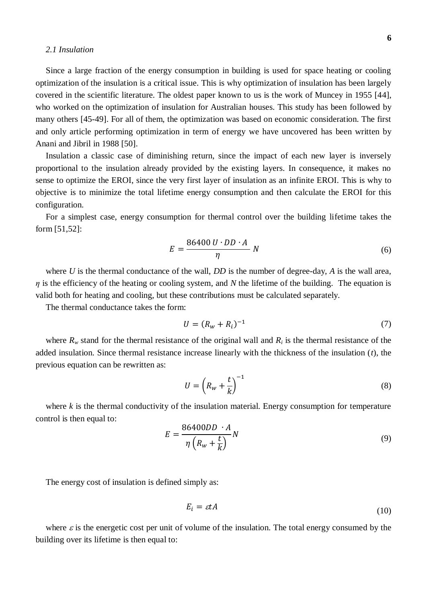#### *2.1 Insulation*

Since a large fraction of the energy consumption in building is used for space heating or cooling optimization of the insulation is a critical issue. This is why optimization of insulation has been largely covered in the scientific literature. The oldest paper known to us is the work of Muncey in 1955 [44], who worked on the optimization of insulation for Australian houses. This study has been followed by many others [45-49]. For all of them, the optimization was based on economic consideration. The first and only article performing optimization in term of energy we have uncovered has been written by Anani and Jibril in 1988 [50].

Insulation a classic case of diminishing return, since the impact of each new layer is inversely proportional to the insulation already provided by the existing layers. In consequence, it makes no sense to optimize the EROI, since the very first layer of insulation as an infinite EROI. This is why to objective is to minimize the total lifetime energy consumption and then calculate the EROI for this configuration.

For a simplest case, energy consumption for thermal control over the building lifetime takes the form [51,52]:

$$
E = \frac{86400 \, U \cdot DD \cdot A}{\eta} \, N \tag{6}
$$

where *U* is the thermal conductance of the wall, *DD* is the number of degree-day, *A* is the wall area, *η* is the efficiency of the heating or cooling system, and *N* the lifetime of the building. The equation is valid both for heating and cooling, but these contributions must be calculated separately.

The thermal conductance takes the form:

$$
U = (R_w + R_i)^{-1}
$$
 (7)

where  $R<sub>w</sub>$  stand for the thermal resistance of the original wall and  $R<sub>i</sub>$  is the thermal resistance of the added insulation. Since thermal resistance increase linearly with the thickness of the insulation (*t*), the previous equation can be rewritten as:

$$
U = \left(R_w + \frac{t}{k}\right)^{-1} \tag{8}
$$

where  $k$  is the thermal conductivity of the insulation material. Energy consumption for temperature control is then equal to:

$$
E = \frac{86400DD \cdot A}{\eta \left(R_w + \frac{t}{k}\right)}N\tag{9}
$$

The energy cost of insulation is defined simply as:

$$
E_i = \varepsilon t A \tag{10}
$$

where  $\varepsilon$  is the energetic cost per unit of volume of the insulation. The total energy consumed by the building over its lifetime is then equal to: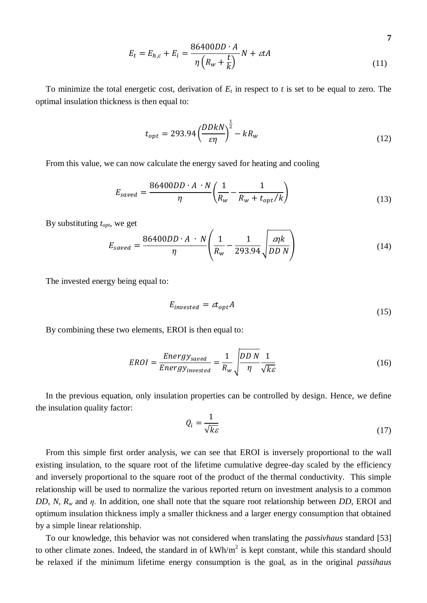$$
E_t = E_{h,c} + E_i = \frac{86400DD \cdot A}{\eta \left(R_w + \frac{t}{k}\right)} N + \varepsilon t A
$$
\n(11)

**7**

To minimize the total energetic cost, derivation of  $E_t$  in respect to  $t$  is set to be equal to zero. The optimal insulation thickness is then equal to:

$$
t_{opt} = 293.94 \left(\frac{DDkN}{\varepsilon\eta}\right)^{\frac{1}{2}} - kR_w \tag{12}
$$

From this value, we can now calculate the energy saved for heating and cooling

$$
E_{saved} = \frac{86400DD \cdot A \cdot N}{\eta} \left(\frac{1}{R_w} - \frac{1}{R_w + t_{opt}/k}\right)
$$
(13)

By substituting *topt*, we get

$$
E_{saved} = \frac{86400DD \cdot A \cdot N}{\eta} \left( \frac{1}{R_w} - \frac{1}{293.94} \sqrt{\frac{\varepsilon \eta k}{DD N}} \right) \tag{14}
$$

The invested energy being equal to:

$$
E_{invested} = \varepsilon t_{opt} A \tag{15}
$$

By combining these two elements, EROI is then equal to:

$$
EROI = \frac{Energy_{saved}}{Energy_{invested}} = \frac{1}{R_w} \sqrt{\frac{DD N}{\eta} \frac{1}{\sqrt{k\epsilon}}}
$$
(16)

In the previous equation, only insulation properties can be controlled by design. Hence, we define the insulation quality factor:

$$
Q_i = \frac{1}{\sqrt{k\varepsilon}}\tag{17}
$$

From this simple first order analysis, we can see that EROI is inversely proportional to the wall existing insulation, to the square root of the lifetime cumulative degree-day scaled by the efficiency and inversely proportional to the square root of the product of the thermal conductivity. This simple relationship will be used to normalize the various reported return on investment analysis to a common *DD*, *N*, *R<sup>w</sup>* and *η.* In addition, one shall note that the square root relationship between *DD*, EROI and optimum insulation thickness imply a smaller thickness and a larger energy consumption that obtained by a simple linear relationship.

To our knowledge, this behavior was not considered when translating the *passivhaus* standard [53] to other climate zones. Indeed, the standard in of  $kWh/m^2$  is kept constant, while this standard should be relaxed if the minimum lifetime energy consumption is the goal, as in the original *passihaus*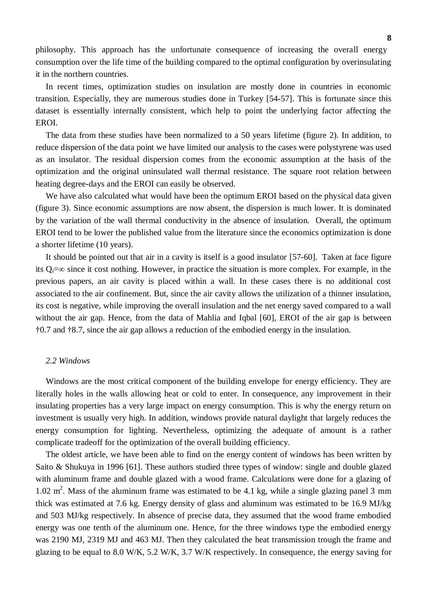philosophy. This approach has the unfortunate consequence of increasing the overall energy consumption over the life time of the building compared to the optimal configuration by overinsulating it in the northern countries.

In recent times, optimization studies on insulation are mostly done in countries in economic transition. Especially, they are numerous studies done in Turkey [54-57]. This is fortunate since this dataset is essentially internally consistent, which help to point the underlying factor affecting the EROI.

The data from these studies have been normalized to a 50 years lifetime (figure 2). In addition, to reduce dispersion of the data point we have limited our analysis to the cases were polystyrene was used as an insulator. The residual dispersion comes from the economic assumption at the basis of the optimization and the original uninsulated wall thermal resistance. The square root relation between heating degree-days and the EROI can easily be observed.

We have also calculated what would have been the optimum EROI based on the physical data given (figure 3). Since economic assumptions are now absent, the dispersion is much lower. It is dominated by the variation of the wall thermal conductivity in the absence of insulation. Overall, the optimum EROI tend to be lower the published value from the literature since the economics optimization is done a shorter lifetime (10 years).

It should be pointed out that air in a cavity is itself is a good insulator [57-60]. Taken at face figure its  $Q_i = \infty$  since it cost nothing. However, in practice the situation is more complex. For example, in the previous papers, an air cavity is placed within a wall. In these cases there is no additional cost associated to the air confinement. But, since the air cavity allows the utilization of a thinner insulation, its cost is negative, while improving the overall insulation and the net energy saved compared to a wall without the air gap. Hence, from the data of Mahlia and Iqbal [60], EROI of the air gap is between †0.7 and †8.7, since the air gap allows a reduction of the embodied energy in the insulation.

#### *2.2 Windows*

Windows are the most critical component of the building envelope for energy efficiency. They are literally holes in the walls allowing heat or cold to enter. In consequence, any improvement in their insulating properties has a very large impact on energy consumption. This is why the energy return on investment is usually very high. In addition, windows provide natural daylight that largely reduces the energy consumption for lighting. Nevertheless, optimizing the adequate of amount is a rather complicate tradeoff for the optimization of the overall building efficiency.

The oldest article, we have been able to find on the energy content of windows has been written by Saito & Shukuya in 1996 [61]. These authors studied three types of window: single and double glazed with aluminum frame and double glazed with a wood frame. Calculations were done for a glazing of 1.02  $m<sup>2</sup>$ . Mass of the aluminum frame was estimated to be 4.1 kg, while a single glazing panel 3 mm thick was estimated at 7.6 kg. Energy density of glass and aluminum was estimated to be 16.9 MJ/kg and 503 MJ/kg respectively. In absence of precise data, they assumed that the wood frame embodied energy was one tenth of the aluminum one. Hence, for the three windows type the embodied energy was 2190 MJ, 2319 MJ and 463 MJ. Then they calculated the heat transmission trough the frame and glazing to be equal to 8.0 W/K, 5.2 W/K, 3.7 W/K respectively. In consequence, the energy saving for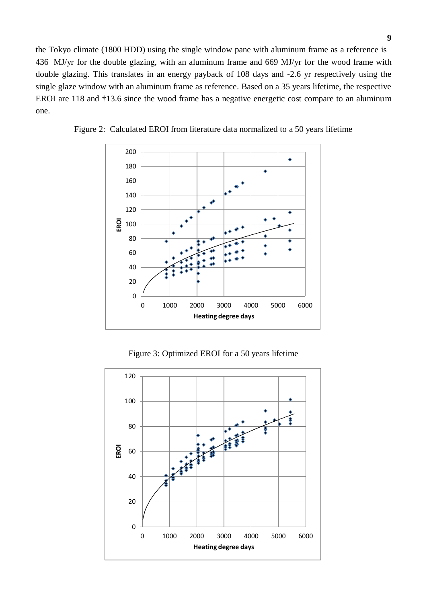the Tokyo climate (1800 HDD) using the single window pane with aluminum frame as a reference is 436 MJ/yr for the double glazing, with an aluminum frame and 669 MJ/yr for the wood frame with double glazing. This translates in an energy payback of 108 days and -2.6 yr respectively using the single glaze window with an aluminum frame as reference. Based on a 35 years lifetime, the respective EROI are 118 and †13.6 since the wood frame has a negative energetic cost compare to an aluminum one.



Figure 2: Calculated EROI from literature data normalized to a 50 years lifetime

Figure 3: Optimized EROI for a 50 years lifetime

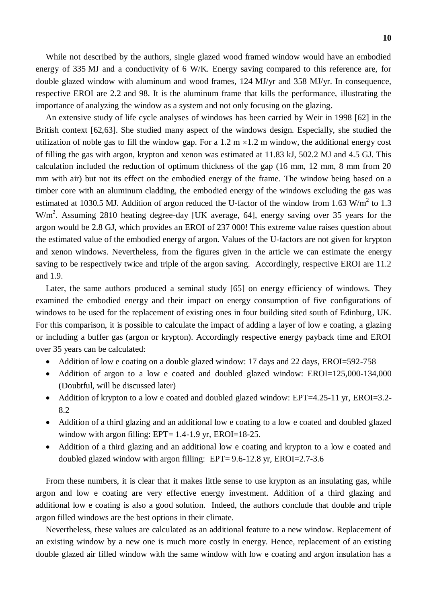While not described by the authors, single glazed wood framed window would have an embodied energy of 335 MJ and a conductivity of 6 W/K. Energy saving compared to this reference are, for double glazed window with aluminum and wood frames, 124 MJ/yr and 358 MJ/yr. In consequence, respective EROI are 2.2 and 98. It is the aluminum frame that kills the performance, illustrating the importance of analyzing the window as a system and not only focusing on the glazing.

An extensive study of life cycle analyses of windows has been carried by Weir in 1998 [62] in the British context [62,63]. She studied many aspect of the windows design. Especially, she studied the utilization of noble gas to fill the window gap. For a 1.2 m  $\times$  1.2 m window, the additional energy cost of filling the gas with argon, krypton and xenon was estimated at 11.83 kJ, 502.2 MJ and 4.5 GJ. This calculation included the reduction of optimum thickness of the gap (16 mm, 12 mm, 8 mm from 20 mm with air) but not its effect on the embodied energy of the frame. The window being based on a timber core with an aluminum cladding, the embodied energy of the windows excluding the gas was estimated at 1030.5 MJ. Addition of argon reduced the U-factor of the window from 1.63 W/m<sup>2</sup> to 1.3  $W/m<sup>2</sup>$ . Assuming 2810 heating degree-day [UK average, 64], energy saving over 35 years for the argon would be 2.8 GJ, which provides an EROI of 237 000! This extreme value raises question about the estimated value of the embodied energy of argon. Values of the U-factors are not given for krypton and xenon windows. Nevertheless, from the figures given in the article we can estimate the energy saving to be respectively twice and triple of the argon saving. Accordingly, respective EROI are 11.2 and 1.9.

Later, the same authors produced a seminal study [65] on energy efficiency of windows. They examined the embodied energy and their impact on energy consumption of five configurations of windows to be used for the replacement of existing ones in four building sited south of Edinburg, UK. For this comparison, it is possible to calculate the impact of adding a layer of low e coating, a glazing or including a buffer gas (argon or krypton). Accordingly respective energy payback time and EROI over 35 years can be calculated:

- Addition of low e coating on a double glazed window: 17 days and 22 days, EROI=592-758
- Addition of argon to a low e coated and doubled glazed window: EROI=125,000-134,000 (Doubtful, will be discussed later)
- Addition of krypton to a low e coated and doubled glazed window: EPT=4.25-11 yr, EROI=3.2-8.2
- Addition of a third glazing and an additional low e coating to a low e coated and doubled glazed window with argon filling: EPT= 1.4-1.9 yr, EROI=18-25.
- Addition of a third glazing and an additional low e coating and krypton to a low e coated and doubled glazed window with argon filling: EPT= 9.6-12.8 yr, EROI=2.7-3.6

From these numbers, it is clear that it makes little sense to use krypton as an insulating gas, while argon and low e coating are very effective energy investment. Addition of a third glazing and additional low e coating is also a good solution. Indeed, the authors conclude that double and triple argon filled windows are the best options in their climate.

Nevertheless, these values are calculated as an additional feature to a new window. Replacement of an existing window by a new one is much more costly in energy. Hence, replacement of an existing double glazed air filled window with the same window with low e coating and argon insulation has a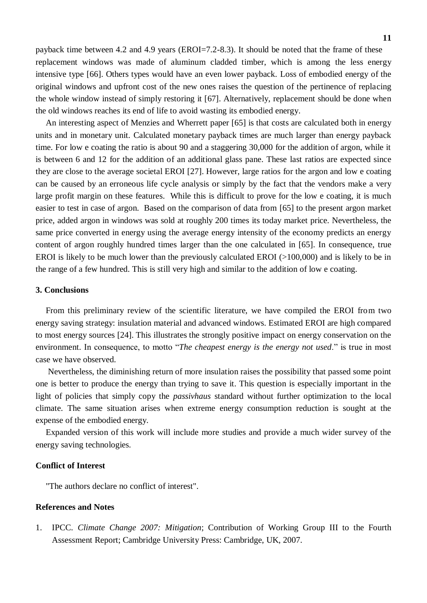payback time between 4.2 and 4.9 years (EROI=7.2-8.3). It should be noted that the frame of these replacement windows was made of aluminum cladded timber, which is among the less energy intensive type [66]. Others types would have an even lower payback. Loss of embodied energy of the original windows and upfront cost of the new ones raises the question of the pertinence of replacing the whole window instead of simply restoring it [67]. Alternatively, replacement should be done when the old windows reaches its end of life to avoid wasting its embodied energy.

An interesting aspect of Menzies and Wherrett paper [65] is that costs are calculated both in energy units and in monetary unit. Calculated monetary payback times are much larger than energy payback time. For low e coating the ratio is about 90 and a staggering 30,000 for the addition of argon, while it is between 6 and 12 for the addition of an additional glass pane. These last ratios are expected since they are close to the average societal EROI [27]. However, large ratios for the argon and low e coating can be caused by an erroneous life cycle analysis or simply by the fact that the vendors make a very large profit margin on these features. While this is difficult to prove for the low e coating, it is much easier to test in case of argon. Based on the comparison of data from [65] to the present argon market price, added argon in windows was sold at roughly 200 times its today market price. Nevertheless, the same price converted in energy using the average energy intensity of the economy predicts an energy content of argon roughly hundred times larger than the one calculated in [65]. In consequence, true EROI is likely to be much lower than the previously calculated EROI (>100,000) and is likely to be in the range of a few hundred. This is still very high and similar to the addition of low e coating.

## **3. Conclusions**

From this preliminary review of the scientific literature, we have compiled the EROI from two energy saving strategy: insulation material and advanced windows. Estimated EROI are high compared to most energy sources [24]. This illustrates the strongly positive impact on energy conservation on the environment. In consequence, to motto "*The cheapest energy is the energy not used*." is true in most case we have observed.

Nevertheless, the diminishing return of more insulation raises the possibility that passed some point one is better to produce the energy than trying to save it. This question is especially important in the light of policies that simply copy the *passivhaus* standard without further optimization to the local climate. The same situation arises when extreme energy consumption reduction is sought at the expense of the embodied energy.

Expanded version of this work will include more studies and provide a much wider survey of the energy saving technologies.

# **Conflict of Interest**

"The authors declare no conflict of interest".

# **References and Notes**

1. IPCC. *Climate Change 2007: Mitigation*; Contribution of Working Group III to the Fourth Assessment Report; Cambridge University Press: Cambridge, UK, 2007.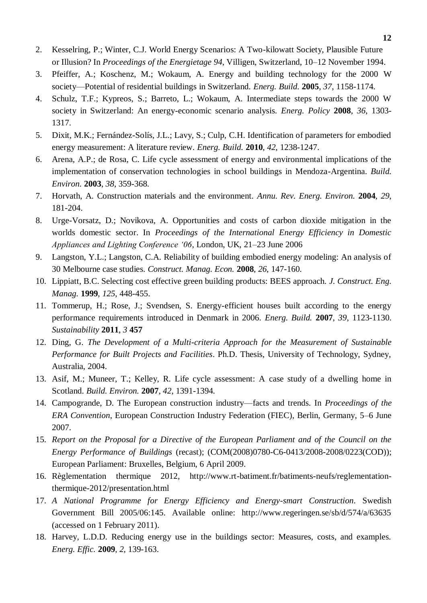- 2. Kesselring, P.; Winter, C.J. World Energy Scenarios: A Two-kilowatt Society, Plausible Future or Illusion? In *Proceedings of the Energietage 94*, Villigen, Switzerland, 10–12 November 1994.
- 3. Pfeiffer, A.; Koschenz, M.; Wokaum, A. Energy and building technology for the 2000 W society—Potential of residential buildings in Switzerland. *Energ. Build.* **2005**, *37*, 1158-1174.
- 4. Schulz, T.F.; Kypreos, S.; Barreto, L.; Wokaum, A. Intermediate steps towards the 2000 W society in Switzerland: An energy-economic scenario analysis. *Energ. Policy* **2008**, *36*, 1303- 1317.
- 5. Dixit, M.K.; Fernández-Solís, J.L.; Lavy, S.; Culp, C.H. Identification of parameters for embodied energy measurement: A literature review. *Energ. Build.* **2010**, *42*, 1238-1247.
- 6. Arena, A.P.; de Rosa, C. Life cycle assessment of energy and environmental implications of the implementation of conservation technologies in school buildings in Mendoza-Argentina. *Build. Environ.* **2003**, *38*, 359-368.
- 7. Horvath, A. Construction materials and the environment. *Annu. Rev. Energ. Environ.* **2004**, *29*, 181-204.
- 8. Urge-Vorsatz, D.; Novikova, A. Opportunities and costs of carbon dioxide mitigation in the worlds domestic sector. In *Proceedings of the International Energy Efficiency in Domestic Appliances and Lighting Conference '06*, London, UK, 21–23 June 2006
- 9. Langston, Y.L.; Langston, C.A. Reliability of building embodied energy modeling: An analysis of 30 Melbourne case studies. *Construct. Manag. Econ.* **2008**, *26*, 147-160.
- 10. Lippiatt, B.C. Selecting cost effective green building products: BEES approach. *J. Construct. Eng. Manag.* **1999**, *125*, 448-455.
- 11. Tommerup, H.; Rose, J.; Svendsen, S. Energy-efficient houses built according to the energy performance requirements introduced in Denmark in 2006. *Energ. Build.* **2007**, *39*, 1123-1130. *Sustainability* **2011**, *3* **457**
- 12. Ding, G. *The Development of a Multi-criteria Approach for the Measurement of Sustainable Performance for Built Projects and Facilities*. Ph.D. Thesis, University of Technology, Sydney, Australia, 2004.
- 13. Asif, M.; Muneer, T.; Kelley, R. Life cycle assessment: A case study of a dwelling home in Scotland. *Build. Environ.* **2007**, *42*, 1391-1394.
- 14. Campogrande, D. The European construction industry—facts and trends. In *Proceedings of the ERA Convention*, European Construction Industry Federation (FIEC), Berlin, Germany, 5–6 June 2007.
- 15. *Report on the Proposal for a Directive of the European Parliament and of the Council on the Energy Performance of Buildings* (recast); (COM(2008)0780-C6-0413/2008-2008/0223(COD)); European Parliament: Bruxelles, Belgium, 6 April 2009.
- 16. Règlementation thermique 2012, http://www.rt-batiment.fr/batiments-neufs/reglementationthermique-2012/presentation.html
- 17. *A National Programme for Energy Efficiency and Energy-smart Construction*. Swedish Government Bill 2005/06:145. Available online: http://www.regeringen.se/sb/d/574/a/63635 (accessed on 1 February 2011).
- 18. Harvey, L.D.D. Reducing energy use in the buildings sector: Measures, costs, and examples. *Energ. Effic.* **2009**, *2*, 139-163.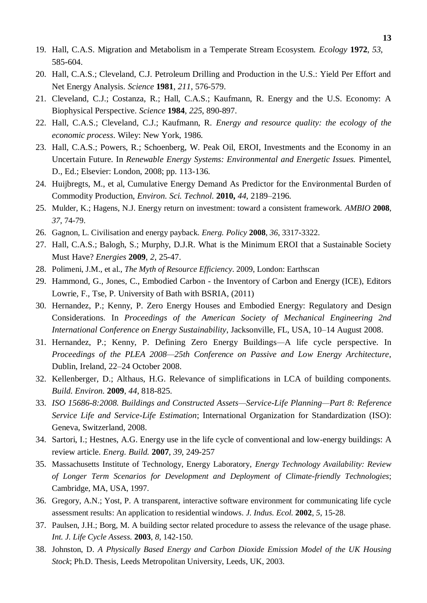- 19. Hall, C.A.S. Migration and Metabolism in a Temperate Stream Ecosystem. *Ecology* **1972**, *53*, 585-604.
- 20. Hall, C.A.S.; Cleveland, C.J. Petroleum Drilling and Production in the U.S.: Yield Per Effort and Net Energy Analysis. *Science* **1981**, *211*, 576-579.
- 21. Cleveland, C.J.; Costanza, R.; Hall, C.A.S.; Kaufmann, R. Energy and the U.S. Economy: A Biophysical Perspective. *Science* **1984**, *225*, 890-897.
- 22. Hall, C.A.S.; Cleveland, C.J.; Kaufmann, R. *Energy and resource quality: the ecology of the economic process*. Wiley: New York, 1986.
- 23. Hall, C.A.S.; Powers, R.; Schoenberg, W. Peak Oil, EROI, Investments and the Economy in an Uncertain Future. In *Renewable Energy Systems: Environmental and Energetic Issues.* Pimentel, D., Ed.; Elsevier: London, 2008; pp. 113-136.
- 24. Huijbregts, M., et al, Cumulative Energy Demand As Predictor for the Environmental Burden of Commodity Production, *Environ. Sci. Technol*. **2010,** *44*, 2189–2196.
- 25. Mulder, K.; Hagens, N.J. Energy return on investment: toward a consistent framework. *AMBIO* **2008**, *37*, 74-79.
- 26. Gagnon, L. Civilisation and energy payback. *Energ. Policy* **2008**, *36*, 3317-3322.
- 27. Hall, C.A.S.; Balogh, S.; Murphy, D.J.R. What is the Minimum EROI that a Sustainable Society Must Have? *Energies* **2009**, *2*, 25-47.
- 28. Polimeni, J.M., et al., *The Myth of Resource Efficiency*. 2009, London: Earthscan
- 29. Hammond, G., Jones, C., Embodied Carbon the Inventory of Carbon and Energy (ICE), Editors Lowrie, F., Tse, P. University of Bath with BSRIA, (2011)
- 30. Hernandez, P.; Kenny, P. Zero Energy Houses and Embodied Energy: Regulatory and Design Considerations. In *Proceedings of the American Society of Mechanical Engineering 2nd International Conference on Energy Sustainability*, Jacksonville, FL, USA, 10–14 August 2008.
- 31. Hernandez, P.; Kenny, P. Defining Zero Energy Buildings*—*A life cycle perspective. In *Proceedings of the PLEA 2008—25th Conference on Passive and Low Energy Architecture*, Dublin, Ireland, 22–24 October 2008.
- 32. Kellenberger, D.; Althaus, H.G. Relevance of simplifications in LCA of building components. *Build. Environ.* **2009**, *44*, 818-825.
- 33. *ISO 15686-8:2008. Buildings and Constructed Assets—Service-Life Planning—Part 8: Reference Service Life and Service-Life Estimation*; International Organization for Standardization (ISO): Geneva, Switzerland, 2008.
- 34. Sartori, I.; Hestnes, A.G. Energy use in the life cycle of conventional and low-energy buildings: A review article. *Energ. Build.* **2007**, *39*, 249-257
- 35. Massachusetts Institute of Technology, Energy Laboratory, *Energy Technology Availability: Review of Longer Term Scenarios for Development and Deployment of Climate-friendly Technologies*; Cambridge, MA, USA, 1997.
- 36. Gregory, A.N.; Yost, P. A transparent, interactive software environment for communicating life cycle assessment results: An application to residential windows. *J. Indus. Ecol.* **2002**, *5*, 15-28.
- 37. Paulsen, J.H.; Borg, M. A building sector related procedure to assess the relevance of the usage phase. *Int. J. Life Cycle Assess.* **2003**, *8*, 142-150.
- 38. Johnston, D. *A Physically Based Energy and Carbon Dioxide Emission Model of the UK Housing Stock*; Ph.D. Thesis, Leeds Metropolitan University, Leeds, UK, 2003.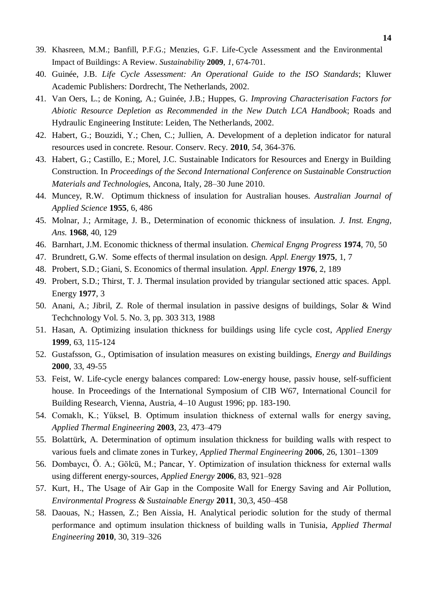- 39. Khasreen, M.M.; Banfill, P.F.G.; Menzies, G.F. Life-Cycle Assessment and the Environmental Impact of Buildings: A Review. *Sustainability* **2009**, *1*, 674-701.
- 40. Guinée, J.B. *Life Cycle Assessment: An Operational Guide to the ISO Standards*; Kluwer Academic Publishers: Dordrecht, The Netherlands, 2002.
- 41. Van Oers, L.; de Koning, A.; Guinée, J.B.; Huppes, G. *Improving Characterisation Factors for Abiotic Resource Depletion as Recommended in the New Dutch LCA Handbook*; Roads and Hydraulic Engineering Institute: Leiden, The Netherlands, 2002.
- 42. Habert, G.; Bouzidi, Y.; Chen, C.; Jullien, A. Development of a depletion indicator for natural resources used in concrete. Resour. Conserv. Recy*.* **2010**, *54*, 364-376.
- 43. Habert, G.; Castillo, E.; Morel, J.C. Sustainable Indicators for Resources and Energy in Building Construction. In *Proceedings of the Second International Conference on Sustainable Construction Materials and Technologie*s, Ancona, Italy, 28–30 June 2010.
- 44. Muncey, R.W. Optimum thickness of insulation for Australian houses. *Australian Journal of Applied Science* **1955**, 6, 486
- 45. Molnar, J.; Armitage, J. B., Determination of economic thickness of insulation. *J. Inst. Engng, Ans.* **1968**, 40, 129
- 46. Barnhart, J.M. Economic thickness of thermal insulation. *Chemical Engng Progress* **1974**, 70, 50
- 47. Brundrett, G.W. Some effects of thermal insulation on design. *Appl. Energy* **1975**, 1, 7
- 48. Probert, S.D.; Giani, S. Economics of thermal insulation. *Appl. Energy* **1976**, 2, 189
- 49. Probert, S.D.; Thirst, T. J. Thermal insulation provided by triangular sectioned attic spaces. Appl. Energy **1977**, 3
- 50. Anani, A.; Jibril, Z. Role of thermal insulation in passive designs of buildings, Solar & Wind Techchnology Vol. 5. No. 3, pp. 303 313, 1988
- 51. Hasan, A. Optimizing insulation thickness for buildings using life cycle cost, *Applied Energy* **1999**, 63, 115-124
- 52. Gustafsson, G., Optimisation of insulation measures on existing buildings, *Energy and Buildings* **2000**, 33, 49-55
- 53. Feist, W. Life-cycle energy balances compared: Low-energy house, passiv house, self-sufficient house. In Proceedings of the International Symposium of CIB W67, International Council for Building Research, Vienna, Austria, 4–10 August 1996; pp. 183-190.
- 54. Comaklı, K.; Yüksel, B. Optimum insulation thickness of external walls for energy saving, *Applied Thermal Engineering* **2003**, 23, 473–479
- 55. Bolattürk, A. Determination of optimum insulation thickness for building walls with respect to various fuels and climate zones in Turkey, *Applied Thermal Engineering* **2006**, 26, 1301–1309
- 56. Dombaycı, Ö. A.; Gölcü, M.; Pancar, Y. Optimization of insulation thickness for external walls using different energy-sources, *Applied Energy* **2006**, 83, 921–928
- 57. Kurt, H., The Usage of Air Gap in the Composite Wall for Energy Saving and Air Pollution, *Environmental Progress & Sustainable Energy* **2011**, 30,3, 450–458
- 58. Daouas, N.; Hassen, Z.; Ben Aissia, H. Analytical periodic solution for the study of thermal performance and optimum insulation thickness of building walls in Tunisia, *Applied Thermal Engineering* **2010**, 30, 319–326